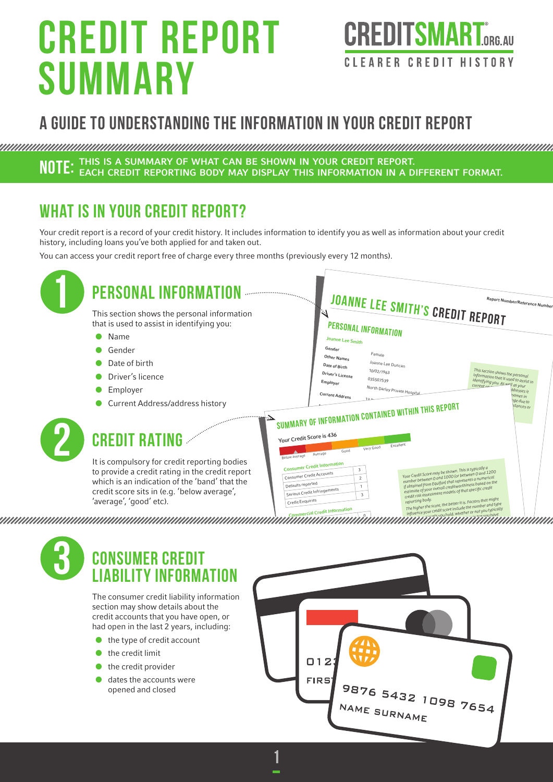# Credit Report summary



# A guide to understanding the information in your credit report

**NOTE:** THIS IS A SUMMARY OF WHAT CAN BE SHOWN IN YOUR CREDIT REPORT.<br>**NOTE:** each credit reporting body may display this information in a different format.

## WHAT IS IN YOUR CREDIT REPORT?

Your credit report is a record of your credit history. It includes information to identify you as well as information about your credit history, including loans you've both applied for and taken out.

You can access your credit report free of charge every three months (previously every 12 months).

| <b>PERSONAL INFORM</b>                                                                          | <b>JOANNE LEE SMITH'S CREDIT REPORT</b><br>Report Number/Reference Number                                                                                                                                       |
|-------------------------------------------------------------------------------------------------|-----------------------------------------------------------------------------------------------------------------------------------------------------------------------------------------------------------------|
| This section shows the personal information<br>that is used to assist in identifying you:       | $\omega$                                                                                                                                                                                                        |
| Name<br>$\bullet$                                                                               | <b>PERSONAL INFORMATION</b>                                                                                                                                                                                     |
|                                                                                                 | Joanne Lee Smith                                                                                                                                                                                                |
| Gender                                                                                          | Gender<br>Female<br>Other Names                                                                                                                                                                                 |
| Date of birth                                                                                   | Joanne Lee Duncan<br>Date of Birth<br>10/02/1963                                                                                                                                                                |
| Driver's licence                                                                                | This section shows the personal<br>Driver's License<br>information that is used to assist in<br>035507539<br>identifying you. As well as your<br>Employer                                                       |
| Employer                                                                                        | North Darley Private Hospita<br>dresses it<br>Current Address<br>ames in                                                                                                                                        |
| Current Address/address history                                                                 | ge due to<br>stances or                                                                                                                                                                                         |
|                                                                                                 | SUMMARY OF INFORMATION CONTAINED WITHIN THIS REPORT                                                                                                                                                             |
|                                                                                                 |                                                                                                                                                                                                                 |
| <b>CREDIT RATING</b>                                                                            | Your Credit Score is 436<br>Excellent                                                                                                                                                                           |
|                                                                                                 | Very Good<br>Good<br>Average<br>Below average                                                                                                                                                                   |
| It is compulsory for credit reporting bodies<br>to provide a credit rating in the credit report | <b>Consumer Credit Information</b><br>$\mathbf{3}$                                                                                                                                                              |
| which is an indication of the 'band' that the                                                   | Your Credit Score may be shown. This is typically a<br>number between 0 and 1000 (or between 0 and 1200<br>Consumer Credit Accounts<br>$\mathbf{2}$<br>if obtained from Equifax) that represents a numerical    |
| credit score sits in (e.g. 'below average',                                                     | estimate of your overall creditworthiness based on the<br>Defaults reported<br>$\mathbf{1}$<br>Credit risk assessment models of that specific credit<br>Serious Credit Infringements<br>$\overline{\mathbf{3}}$ |
| 'average', 'good' etc).                                                                         | The higher the score, the better it is. Factors that might<br>Credit Enquiries                                                                                                                                  |
|                                                                                                 | influence your credit score include the number and type<br>nmercial Credit Information                                                                                                                          |
|                                                                                                 |                                                                                                                                                                                                                 |
|                                                                                                 |                                                                                                                                                                                                                 |
| <b>CONSUMER CREDIT</b>                                                                          |                                                                                                                                                                                                                 |
|                                                                                                 |                                                                                                                                                                                                                 |
|                                                                                                 |                                                                                                                                                                                                                 |
| <b>IABILITY INFORMATION</b>                                                                     |                                                                                                                                                                                                                 |
|                                                                                                 |                                                                                                                                                                                                                 |
| The consumer credit liability information                                                       |                                                                                                                                                                                                                 |
| section may show details about the                                                              |                                                                                                                                                                                                                 |
| credit accounts that you have open, or                                                          |                                                                                                                                                                                                                 |
| had open in the last 2 years, including:                                                        |                                                                                                                                                                                                                 |
| the type of credit account                                                                      |                                                                                                                                                                                                                 |
| the credit limit                                                                                | $\Box$ 12                                                                                                                                                                                                       |
| the credit provider                                                                             |                                                                                                                                                                                                                 |
| dates the accounts were                                                                         | FIR <sub>5</sub>                                                                                                                                                                                                |
| opened and closed                                                                               |                                                                                                                                                                                                                 |
|                                                                                                 | 9876 5432 1098 7654<br>NAME SURNAME                                                                                                                                                                             |

1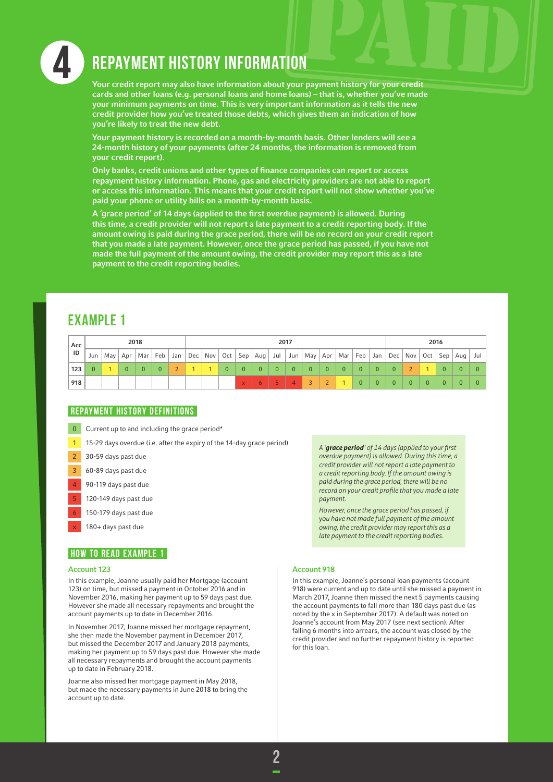

## 4 Repayment History Information

Your credit report may also have information about your payment history for your credit cards and other loans (e.g. personal loans and home loans) – that is, whether you've made your minimum payments on time. This is very important information as it tells the new credit provider how you've treated those debts, which gives them an indication of how you're likely to treat the new debt.

Your payment history is recorded on a month-by-month basis. Other lenders will see a 24-month history of your payments (after 24 months, the information is removed from your credit report).

Only banks, credit unions and other types of finance companies can report or access repayment history information. Phone, gas and electricity providers are not able to report or access this information. This means that your credit report will not show whether you've paid your phone or utility bills on a month-by-month basis.

A 'grace period' of 14 days (applied to the first overdue payment) is allowed. During this time, a credit provider will not report a late payment to a credit reporting body. If the amount owing is paid during the grace period, there will be no record on your credit report that you made a late payment. However, once the grace period has passed, if you have not made the full payment of the amount owing, the credit provider may report this as a late payment to the credit reporting bodies.

### Example 1

| Acc<br>$\overline{1}$ |          |              | 2018     |              | 2017 |  |          |              |                |          |                |                |                |          |                |              | 2016         |                                                                                                                                   |              |          |          |     |
|-----------------------|----------|--------------|----------|--------------|------|--|----------|--------------|----------------|----------|----------------|----------------|----------------|----------|----------------|--------------|--------------|-----------------------------------------------------------------------------------------------------------------------------------|--------------|----------|----------|-----|
|                       | Jun      |              |          |              |      |  |          |              |                |          |                |                |                |          |                |              |              | May   Apr   Mar   Feb   Jan   Dec   Nov   Oct   Sep   Aug   Jul   Jun   May   Apr   Mar   Feb   Jan   Dec   Nov   Oct   Sep   Aug |              |          |          | Jul |
| 123                   | $\Omega$ | $\mathbf{0}$ | $\Omega$ | $\mathbf{0}$ |      |  | $\Omega$ | $\Omega$     | $\overline{0}$ | $\Omega$ | $\overline{0}$ | $\overline{0}$ | $\overline{0}$ | $\Omega$ | $\mathbf{0}$   | $\Omega$     | $\Omega$     |                                                                                                                                   |              | $\Omega$ | $\Omega$ |     |
| 918                   |          |              |          |              |      |  |          | $\mathsf{x}$ | $\mathbf{6}$   |          | $\overline{4}$ |                |                |          | $\overline{0}$ | $\mathbf{0}$ | $\mathbf{0}$ | 0                                                                                                                                 | $\mathbf{0}$ |          |          |     |

#### **REPAYMENT HISTORY DEFINITIONS**

- 0 Current up to and including the grace period\*
- 1 15-29 days overdue (i.e. after the expiry of the 14-day grace period)
- 2 30-59 days past due
- 3 60-89 days past due
- 4 90-119 days past due
- 5 120-149 days past due
- 150-179 days past due
- 180+ days past due

#### **HOW TO READ EXAMPLE 1**

#### Account 123

In this example, Joanne usually paid her Mortgage (account 123) on time, but missed a payment in October 2016 and in November 2016, making her payment up to 59 days past due. However she made all necessary repayments and brought the account payments up to date in December 2016.

In November 2017, Joanne missed her mortgage repayment, she then made the November payment in December 2017, but missed the December 2017 and January 2018 payments, making her payment up to 59 days past due. However she made all necessary repayments and brought the account payments up to date in February 2018.

Joanne also missed her mortgage payment in May 2018, but made the necessary payments in June 2018 to bring the account up to date.

*A 'grace period' of 14 days (applied to your first overdue payment) is allowed. During this time, a credit provider will not report a late payment to a credit reporting body. If the amount owing is paid during the grace period, there will be no record on your credit profile that you made a late payment.* 

*However, once the grace period has passed, if you have not made full payment of the amount owing, the credit provider may report this as a late payment to the credit reporting bodies.*

#### Account 918

In this example, Joanne's personal loan payments (account 918) were current and up to date until she missed a payment in March 2017, Joanne then missed the next 5 payments causing the account payments to fall more than 180 days past due (as noted by the x in September 2017). A default was noted on Joanne's account from May 2017 (see next section). After falling 6 months into arrears, the account was closed by the credit provider and no further repayment history is reported for this loan.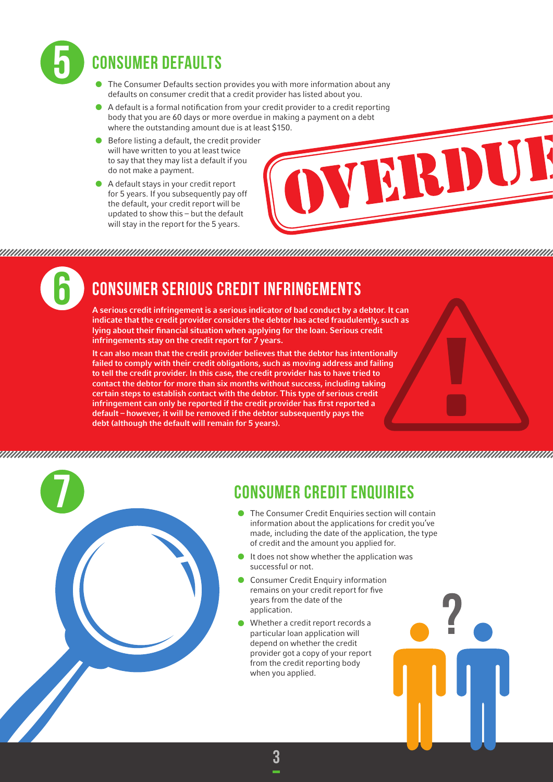

# Consumer Defaults

- The Consumer Defaults section provides you with more information about any defaults on consumer credit that a credit provider has listed about you.
- A default is a formal notification from your credit provider to a credit reporting body that you are 60 days or more overdue in making a payment on a debt where the outstanding amount due is at least \$150.
- $\bullet$  Before listing a default, the credit provider will have written to you at least twice to say that they may list a default if you do not make a payment.
- • A default stays in your credit report for 5 years. If you subsequently pay off the default, your credit report will be updated to show this – but the default will stay in the report for the 5 years.



6

# Consumer Serious Credit Infringements

A serious credit infringement is a serious indicator of bad conduct by a debtor. It can indicate that the credit provider considers the debtor has acted fraudulently, such as lying about their financial situation when applying for the loan. Serious credit infringements stay on the credit report for 7 years.

It can also mean that the credit provider believes that the debtor has intentionally failed to comply with their credit obligations, such as moving address and failing to tell the credit provider. In this case, the credit provider has to have tried to contact the debtor for more than six months without success, including taking certain steps to establish contact with the debtor. This type of serious credit infringement can only be reported if the credit provider has first reported a default – however, it will be removed if the debtor subsequently pays the debt (although the default will remain for 5 years).

### 



# Consumer Credit Enquiries

- The Consumer Credit Enquiries section will contain information about the applications for credit you've made, including the date of the application, the type of credit and the amount you applied for.
- It does not show whether the application was successful or not.
- Consumer Credit Enquiry information remains on your credit report for five years from the date of the application.
- Whether a credit report records a particular loan application will depend on whether the credit provider got a copy of your report from the credit reporting body when you applied.

3